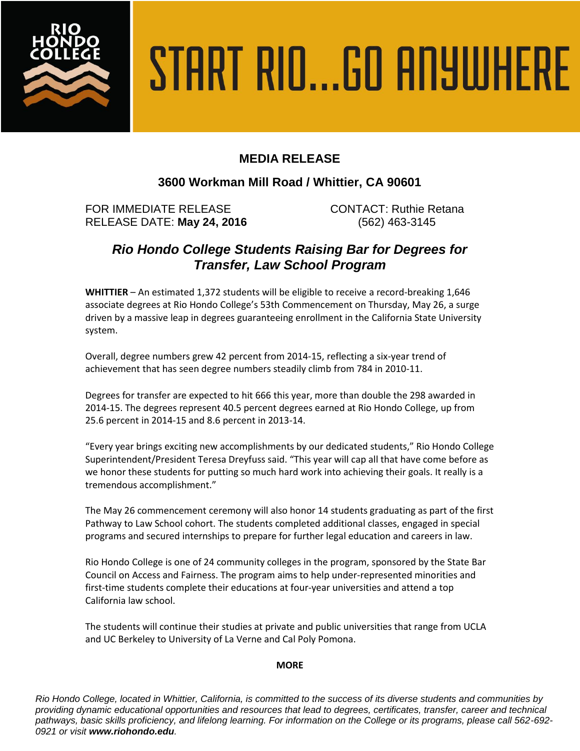

# START RIO...GO ANYWHERE

# **MEDIA RELEASE**

### **3600 Workman Mill Road / Whittier, CA 90601**

FOR IMMEDIATE RELEASE CONTACT: Ruthie Retana RELEASE DATE: **May 24, 2016** (562) 463-3145

# *Rio Hondo College Students Raising Bar for Degrees for Transfer, Law School Program*

**WHITTIER** – An estimated 1,372 students will be eligible to receive a record-breaking 1,646 associate degrees at Rio Hondo College's 53th Commencement on Thursday, May 26, a surge driven by a massive leap in degrees guaranteeing enrollment in the California State University system.

Overall, degree numbers grew 42 percent from 2014-15, reflecting a six-year trend of achievement that has seen degree numbers steadily climb from 784 in 2010-11.

Degrees for transfer are expected to hit 666 this year, more than double the 298 awarded in 2014-15. The degrees represent 40.5 percent degrees earned at Rio Hondo College, up from 25.6 percent in 2014-15 and 8.6 percent in 2013-14.

"Every year brings exciting new accomplishments by our dedicated students," Rio Hondo College Superintendent/President Teresa Dreyfuss said. "This year will cap all that have come before as we honor these students for putting so much hard work into achieving their goals. It really is a tremendous accomplishment."

The May 26 commencement ceremony will also honor 14 students graduating as part of the first Pathway to Law School cohort. The students completed additional classes, engaged in special programs and secured internships to prepare for further legal education and careers in law.

Rio Hondo College is one of 24 community colleges in the program, sponsored by the State Bar Council on Access and Fairness. The program aims to help under-represented minorities and first-time students complete their educations at four-year universities and attend a top California law school.

The students will continue their studies at private and public universities that range from UCLA and UC Berkeley to University of La Verne and Cal Poly Pomona.

### **MORE**

*Rio Hondo College, located in Whittier, California, is committed to the success of its diverse students and communities by providing dynamic educational opportunities and resources that lead to degrees, certificates, transfer, career and technical pathways, basic skills proficiency, and lifelong learning. For information on the College or its programs, please call 562-692- 0921 or visit www.riohondo.edu.*